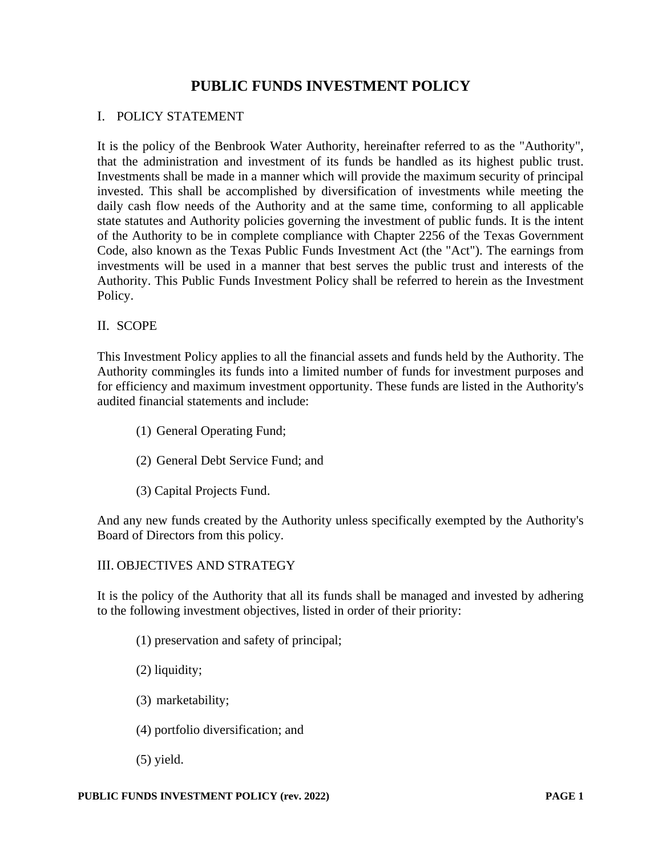# **PUBLIC FUNDS INVESTMENT POLICY**

### I. POLICY STATEMENT

It is the policy of the Benbrook Water Authority, hereinafter referred to as the "Authority", that the administration and investment of its funds be handled as its highest public trust. Investments shall be made in a manner which will provide the maximum security of principal invested. This shall be accomplished by diversification of investments while meeting the daily cash flow needs of the Authority and at the same time, conforming to all applicable state statutes and Authority policies governing the investment of public funds. It is the intent of the Authority to be in complete compliance with Chapter 2256 of the Texas Government Code, also known as the Texas Public Funds Investment Act (the "Act"). The earnings from investments will be used in a manner that best serves the public trust and interests of the Authority. This Public Funds Investment Policy shall be referred to herein as the Investment Policy.

### II. SCOPE

This Investment Policy applies to all the financial assets and funds held by the Authority. The Authority commingles its funds into a limited number of funds for investment purposes and for efficiency and maximum investment opportunity. These funds are listed in the Authority's audited financial statements and include:

- (1) General Operating Fund;
- (2) General Debt Service Fund; and
- (3) Capital Projects Fund.

And any new funds created by the Authority unless specifically exempted by the Authority's Board of Directors from this policy.

### III. OBJECTIVES AND STRATEGY

It is the policy of the Authority that all its funds shall be managed and invested by adhering to the following investment objectives, listed in order of their priority:

- (1) preservation and safety of principal;
- (2) liquidity;
- (3) marketability;
- (4) portfolio diversification; and
- (5) yield.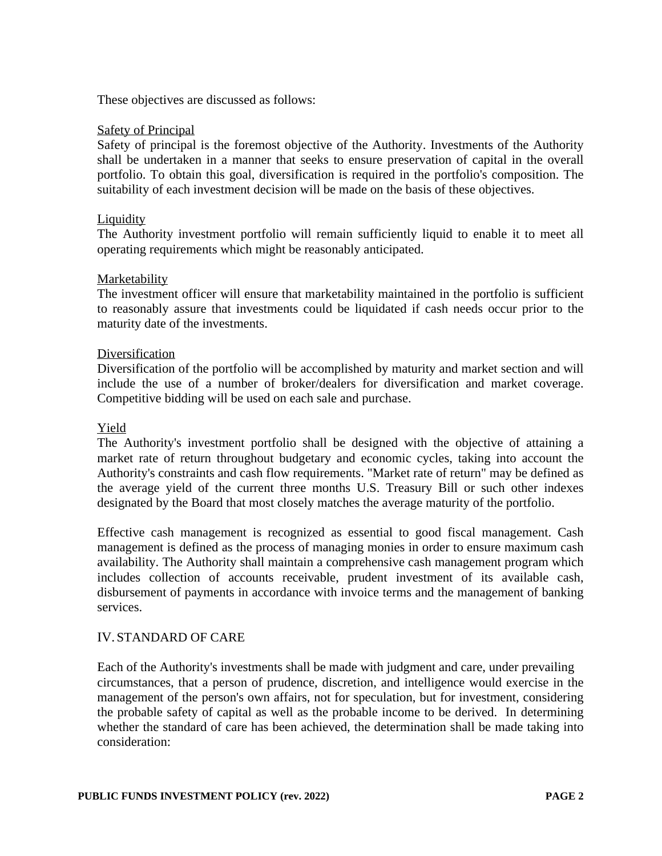These objectives are discussed as follows:

#### **Safety of Principal**

Safety of principal is the foremost objective of the Authority. Investments of the Authority shall be undertaken in a manner that seeks to ensure preservation of capital in the overall portfolio. To obtain this goal, diversification is required in the portfolio's composition. The suitability of each investment decision will be made on the basis of these objectives.

### **Liquidity**

The Authority investment portfolio will remain sufficiently liquid to enable it to meet all operating requirements which might be reasonably anticipated.

### Marketability

The investment officer will ensure that marketability maintained in the portfolio is sufficient to reasonably assure that investments could be liquidated if cash needs occur prior to the maturity date of the investments.

#### Diversification

Diversification of the portfolio will be accomplished by maturity and market section and will include the use of a number of broker/dealers for diversification and market coverage. Competitive bidding will be used on each sale and purchase.

#### Yield

The Authority's investment portfolio shall be designed with the objective of attaining a market rate of return throughout budgetary and economic cycles, taking into account the Authority's constraints and cash flow requirements. "Market rate of return" may be defined as the average yield of the current three months U.S. Treasury Bill or such other indexes designated by the Board that most closely matches the average maturity of the portfolio.

Effective cash management is recognized as essential to good fiscal management. Cash management is defined as the process of managing monies in order to ensure maximum cash availability. The Authority shall maintain a comprehensive cash management program which includes collection of accounts receivable, prudent investment of its available cash, disbursement of payments in accordance with invoice terms and the management of banking services.

### IV. STANDARD OF CARE

Each of the Authority's investments shall be made with judgment and care, under prevailing circumstances, that a person of prudence, discretion, and intelligence would exercise in the management of the person's own affairs, not for speculation, but for investment, considering the probable safety of capital as well as the probable income to be derived. In determining whether the standard of care has been achieved, the determination shall be made taking into consideration: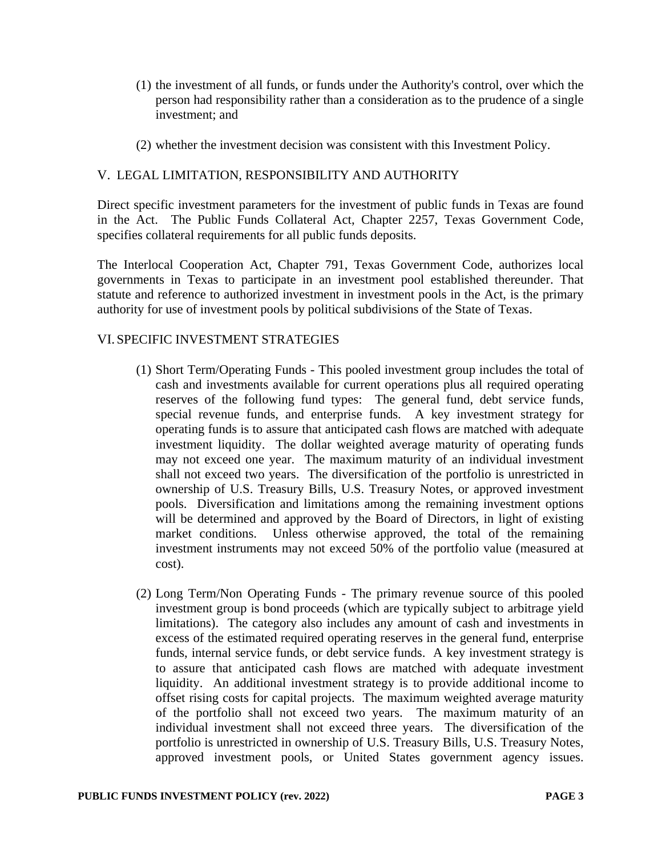- (1) the investment of all funds, or funds under the Authority's control, over which the person had responsibility rather than a consideration as to the prudence of a single investment; and
- (2) whether the investment decision was consistent with this Investment Policy.

# V. LEGAL LIMITATION, RESPONSIBILITY AND AUTHORITY

Direct specific investment parameters for the investment of public funds in Texas are found in the Act. The Public Funds Collateral Act, Chapter 2257, Texas Government Code, specifies collateral requirements for all public funds deposits.

The Interlocal Cooperation Act, Chapter 791, Texas Government Code, authorizes local governments in Texas to participate in an investment pool established thereunder. That statute and reference to authorized investment in investment pools in the Act, is the primary authority for use of investment pools by political subdivisions of the State of Texas.

# VI. SPECIFIC INVESTMENT STRATEGIES

- (1) Short Term/Operating Funds This pooled investment group includes the total of cash and investments available for current operations plus all required operating reserves of the following fund types: The general fund, debt service funds, special revenue funds, and enterprise funds. A key investment strategy for operating funds is to assure that anticipated cash flows are matched with adequate investment liquidity. The dollar weighted average maturity of operating funds may not exceed one year. The maximum maturity of an individual investment shall not exceed two years. The diversification of the portfolio is unrestricted in ownership of U.S. Treasury Bills, U.S. Treasury Notes, or approved investment pools. Diversification and limitations among the remaining investment options will be determined and approved by the Board of Directors, in light of existing market conditions. Unless otherwise approved, the total of the remaining investment instruments may not exceed 50% of the portfolio value (measured at cost).
- (2) Long Term/Non Operating Funds The primary revenue source of this pooled investment group is bond proceeds (which are typically subject to arbitrage yield limitations). The category also includes any amount of cash and investments in excess of the estimated required operating reserves in the general fund, enterprise funds, internal service funds, or debt service funds. A key investment strategy is to assure that anticipated cash flows are matched with adequate investment liquidity. An additional investment strategy is to provide additional income to offset rising costs for capital projects. The maximum weighted average maturity of the portfolio shall not exceed two years. The maximum maturity of an individual investment shall not exceed three years. The diversification of the portfolio is unrestricted in ownership of U.S. Treasury Bills, U.S. Treasury Notes, approved investment pools, or United States government agency issues.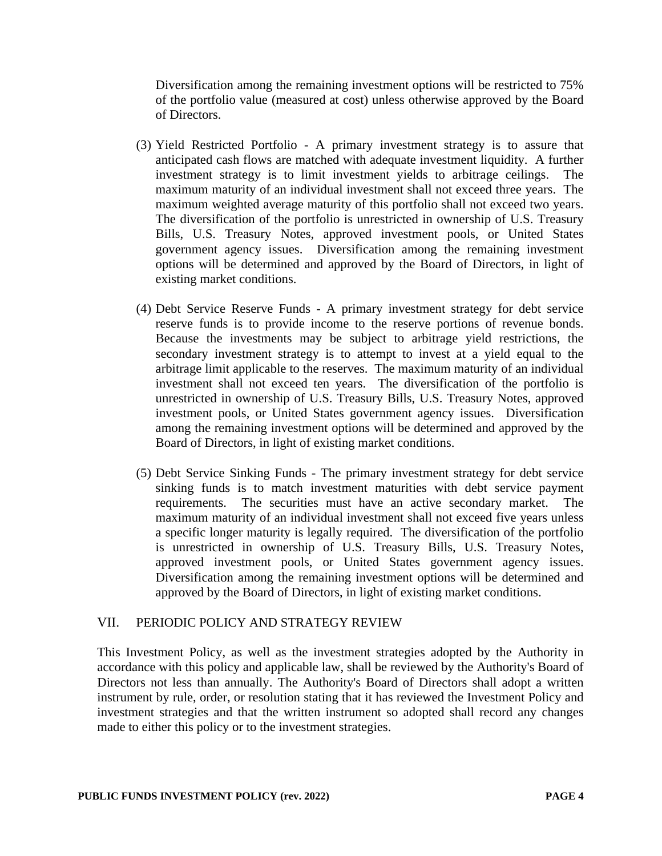Diversification among the remaining investment options will be restricted to 75% of the portfolio value (measured at cost) unless otherwise approved by the Board of Directors.

- (3) Yield Restricted Portfolio A primary investment strategy is to assure that anticipated cash flows are matched with adequate investment liquidity. A further investment strategy is to limit investment yields to arbitrage ceilings. The maximum maturity of an individual investment shall not exceed three years. The maximum weighted average maturity of this portfolio shall not exceed two years. The diversification of the portfolio is unrestricted in ownership of U.S. Treasury Bills, U.S. Treasury Notes, approved investment pools, or United States government agency issues. Diversification among the remaining investment options will be determined and approved by the Board of Directors, in light of existing market conditions.
- (4) Debt Service Reserve Funds A primary investment strategy for debt service reserve funds is to provide income to the reserve portions of revenue bonds. Because the investments may be subject to arbitrage yield restrictions, the secondary investment strategy is to attempt to invest at a yield equal to the arbitrage limit applicable to the reserves. The maximum maturity of an individual investment shall not exceed ten years. The diversification of the portfolio is unrestricted in ownership of U.S. Treasury Bills, U.S. Treasury Notes, approved investment pools, or United States government agency issues. Diversification among the remaining investment options will be determined and approved by the Board of Directors, in light of existing market conditions.
- (5) Debt Service Sinking Funds The primary investment strategy for debt service sinking funds is to match investment maturities with debt service payment requirements. The securities must have an active secondary market. The maximum maturity of an individual investment shall not exceed five years unless a specific longer maturity is legally required. The diversification of the portfolio is unrestricted in ownership of U.S. Treasury Bills, U.S. Treasury Notes, approved investment pools, or United States government agency issues. Diversification among the remaining investment options will be determined and approved by the Board of Directors, in light of existing market conditions.

### VII. PERIODIC POLICY AND STRATEGY REVIEW

This Investment Policy, as well as the investment strategies adopted by the Authority in accordance with this policy and applicable law, shall be reviewed by the Authority's Board of Directors not less than annually. The Authority's Board of Directors shall adopt a written instrument by rule, order, or resolution stating that it has reviewed the Investment Policy and investment strategies and that the written instrument so adopted shall record any changes made to either this policy or to the investment strategies.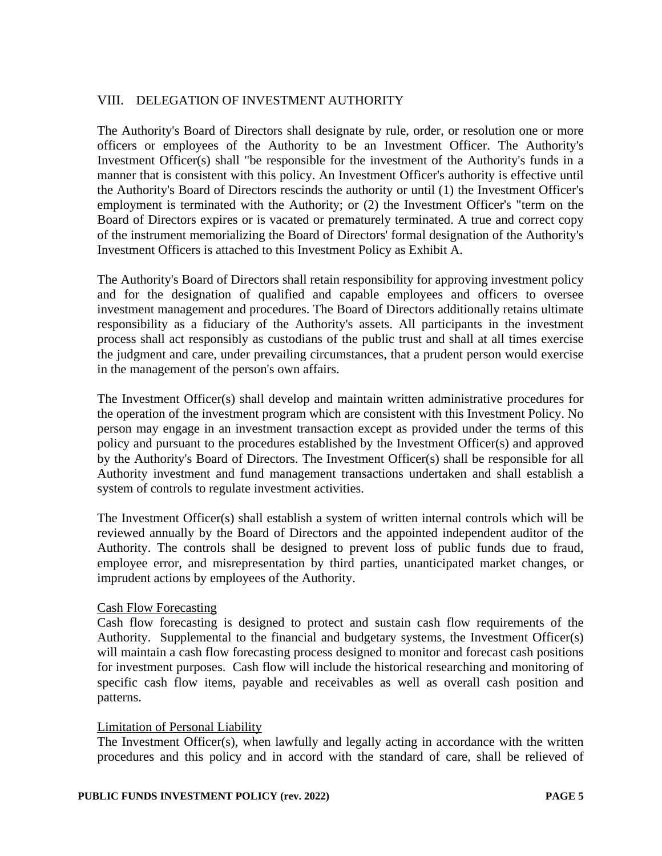# VIII. DELEGATION OF INVESTMENT AUTHORITY

The Authority's Board of Directors shall designate by rule, order, or resolution one or more officers or employees of the Authority to be an Investment Officer. The Authority's Investment Officer(s) shall "be responsible for the investment of the Authority's funds in a manner that is consistent with this policy. An Investment Officer's authority is effective until the Authority's Board of Directors rescinds the authority or until (1) the Investment Officer's employment is terminated with the Authority; or (2) the Investment Officer's "term on the Board of Directors expires or is vacated or prematurely terminated. A true and correct copy of the instrument memorializing the Board of Directors' formal designation of the Authority's Investment Officers is attached to this Investment Policy as Exhibit A.

The Authority's Board of Directors shall retain responsibility for approving investment policy and for the designation of qualified and capable employees and officers to oversee investment management and procedures. The Board of Directors additionally retains ultimate responsibility as a fiduciary of the Authority's assets. All participants in the investment process shall act responsibly as custodians of the public trust and shall at all times exercise the judgment and care, under prevailing circumstances, that a prudent person would exercise in the management of the person's own affairs.

The Investment Officer(s) shall develop and maintain written administrative procedures for the operation of the investment program which are consistent with this Investment Policy. No person may engage in an investment transaction except as provided under the terms of this policy and pursuant to the procedures established by the Investment Officer(s) and approved by the Authority's Board of Directors. The Investment Officer(s) shall be responsible for all Authority investment and fund management transactions undertaken and shall establish a system of controls to regulate investment activities.

The Investment Officer(s) shall establish a system of written internal controls which will be reviewed annually by the Board of Directors and the appointed independent auditor of the Authority. The controls shall be designed to prevent loss of public funds due to fraud, employee error, and misrepresentation by third parties, unanticipated market changes, or imprudent actions by employees of the Authority.

### Cash Flow Forecasting

Cash flow forecasting is designed to protect and sustain cash flow requirements of the Authority. Supplemental to the financial and budgetary systems, the Investment Officer(s) will maintain a cash flow forecasting process designed to monitor and forecast cash positions for investment purposes. Cash flow will include the historical researching and monitoring of specific cash flow items, payable and receivables as well as overall cash position and patterns.

### Limitation of Personal Liability

The Investment Officer(s), when lawfully and legally acting in accordance with the written procedures and this policy and in accord with the standard of care, shall be relieved of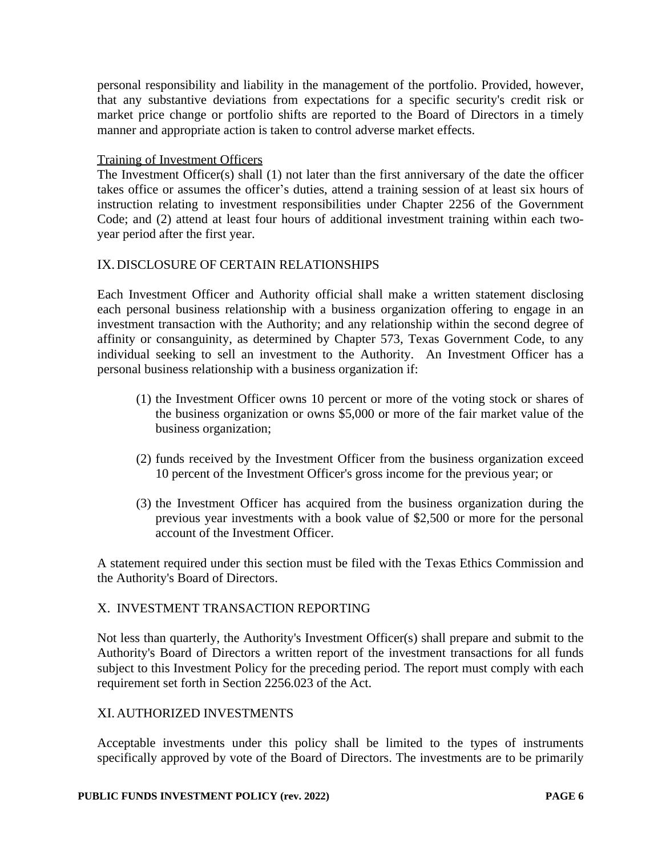personal responsibility and liability in the management of the portfolio. Provided, however, that any substantive deviations from expectations for a specific security's credit risk or market price change or portfolio shifts are reported to the Board of Directors in a timely manner and appropriate action is taken to control adverse market effects.

### Training of Investment Officers

The Investment Officer $(s)$  shall  $(1)$  not later than the first anniversary of the date the officer takes office or assumes the officer's duties, attend a training session of at least six hours of instruction relating to investment responsibilities under Chapter 2256 of the Government Code; and (2) attend at least four hours of additional investment training within each twoyear period after the first year.

### IX.DISCLOSURE OF CERTAIN RELATIONSHIPS

Each Investment Officer and Authority official shall make a written statement disclosing each personal business relationship with a business organization offering to engage in an investment transaction with the Authority; and any relationship within the second degree of affinity or consanguinity, as determined by Chapter 573, Texas Government Code, to any individual seeking to sell an investment to the Authority. An Investment Officer has a personal business relationship with a business organization if:

- (1) the Investment Officer owns 10 percent or more of the voting stock or shares of the business organization or owns \$5,000 or more of the fair market value of the business organization;
- (2) funds received by the Investment Officer from the business organization exceed 10 percent of the Investment Officer's gross income for the previous year; or
- (3) the Investment Officer has acquired from the business organization during the previous year investments with a book value of \$2,500 or more for the personal account of the Investment Officer.

A statement required under this section must be filed with the Texas Ethics Commission and the Authority's Board of Directors.

### X. INVESTMENT TRANSACTION REPORTING

Not less than quarterly, the Authority's Investment Officer(s) shall prepare and submit to the Authority's Board of Directors a written report of the investment transactions for all funds subject to this Investment Policy for the preceding period. The report must comply with each requirement set forth in Section 2256.023 of the Act.

# XI.AUTHORIZED INVESTMENTS

Acceptable investments under this policy shall be limited to the types of instruments specifically approved by vote of the Board of Directors. The investments are to be primarily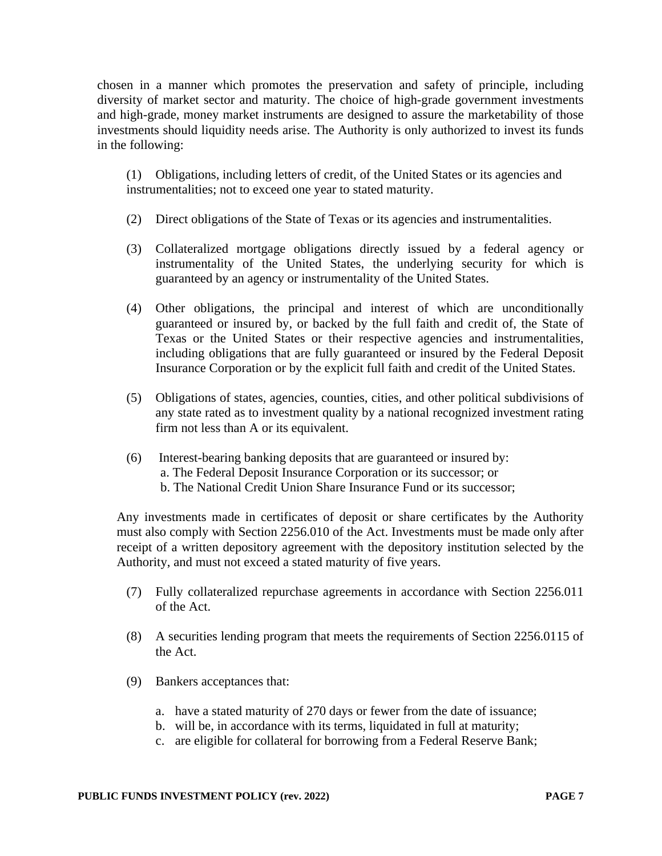chosen in a manner which promotes the preservation and safety of principle, including diversity of market sector and maturity. The choice of high-grade government investments and high-grade, money market instruments are designed to assure the marketability of those investments should liquidity needs arise. The Authority is only authorized to invest its funds in the following:

(1) Obligations, including letters of credit, of the United States or its agencies and instrumentalities; not to exceed one year to stated maturity.

- (2) Direct obligations of the State of Texas or its agencies and instrumentalities.
- (3) Collateralized mortgage obligations directly issued by a federal agency or instrumentality of the United States, the underlying security for which is guaranteed by an agency or instrumentality of the United States.
- (4) Other obligations, the principal and interest of which are unconditionally guaranteed or insured by, or backed by the full faith and credit of, the State of Texas or the United States or their respective agencies and instrumentalities, including obligations that are fully guaranteed or insured by the Federal Deposit Insurance Corporation or by the explicit full faith and credit of the United States.
- (5) Obligations of states, agencies, counties, cities, and other political subdivisions of any state rated as to investment quality by a national recognized investment rating firm not less than A or its equivalent.
- (6) Interest-bearing banking deposits that are guaranteed or insured by: a. The Federal Deposit Insurance Corporation or its successor; or b. The National Credit Union Share Insurance Fund or its successor;

Any investments made in certificates of deposit or share certificates by the Authority must also comply with Section 2256.010 of the Act. Investments must be made only after receipt of a written depository agreement with the depository institution selected by the Authority, and must not exceed a stated maturity of five years.

- (7) Fully collateralized repurchase agreements in accordance with Section 2256.011 of the Act.
- (8) A securities lending program that meets the requirements of Section 2256.0115 of the Act.
- (9) Bankers acceptances that:
	- a. have a stated maturity of 270 days or fewer from the date of issuance;
	- b. will be, in accordance with its terms, liquidated in full at maturity;
	- c. are eligible for collateral for borrowing from a Federal Reserve Bank;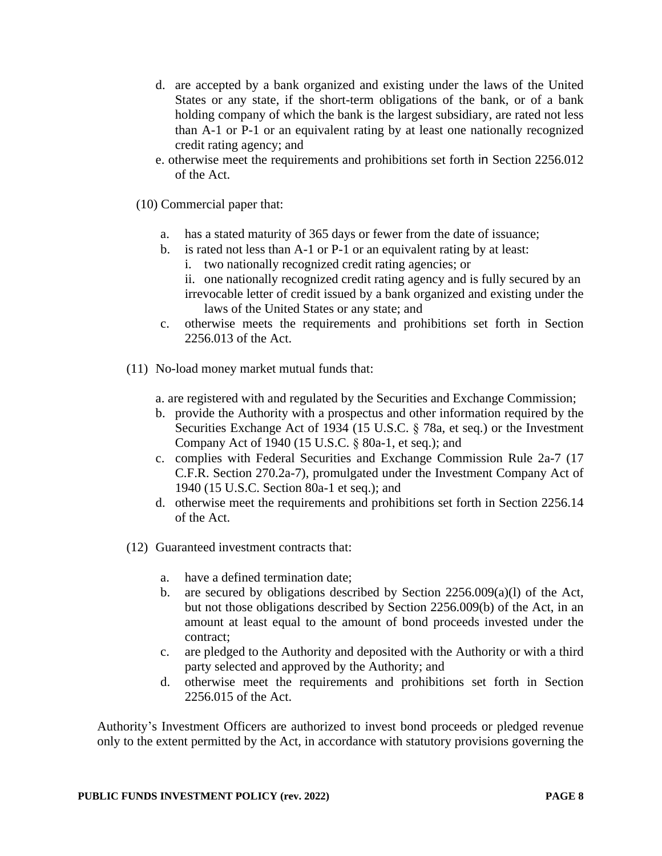- d. are accepted by a bank organized and existing under the laws of the United States or any state, if the short-term obligations of the bank, or of a bank holding company of which the bank is the largest subsidiary, are rated not less than A-1 or P-1 or an equivalent rating by at least one nationally recognized credit rating agency; and
- e. otherwise meet the requirements and prohibitions set forth in Section 2256.012 of the Act.
- (10) Commercial paper that:
	- a. has a stated maturity of 365 days or fewer from the date of issuance;
	- b. is rated not less than A-1 or P-1 or an equivalent rating by at least: i. two nationally recognized credit rating agencies; or
		- ii. one nationally recognized credit rating agency and is fully secured by an irrevocable letter of credit issued by a bank organized and existing under the laws of the United States or any state; and
	- c. otherwise meets the requirements and prohibitions set forth in Section 2256.013 of the Act.
- (11) No-load money market mutual funds that:
	- a. are registered with and regulated by the Securities and Exchange Commission;
	- b. provide the Authority with a prospectus and other information required by the Securities Exchange Act of 1934 (15 U.S.C. § 78a, et seq.) or the Investment Company Act of 1940 (15 U.S.C. § 80a-1, et seq.); and
	- c. complies with Federal Securities and Exchange Commission Rule 2a-7 (17 C.F.R. Section 270.2a-7), promulgated under the Investment Company Act of 1940 (15 U.S.C. Section 80a-1 et seq.); and
	- d. otherwise meet the requirements and prohibitions set forth in Section 2256.14 of the Act.
- (12) Guaranteed investment contracts that:
	- a. have a defined termination date;
	- b. are secured by obligations described by Section  $2256.009(a)(l)$  of the Act, but not those obligations described by Section 2256.009(b) of the Act, in an amount at least equal to the amount of bond proceeds invested under the contract;
	- c. are pledged to the Authority and deposited with the Authority or with a third party selected and approved by the Authority; and
	- d. otherwise meet the requirements and prohibitions set forth in Section 2256.015 of the Act.

Authority's Investment Officers are authorized to invest bond proceeds or pledged revenue only to the extent permitted by the Act, in accordance with statutory provisions governing the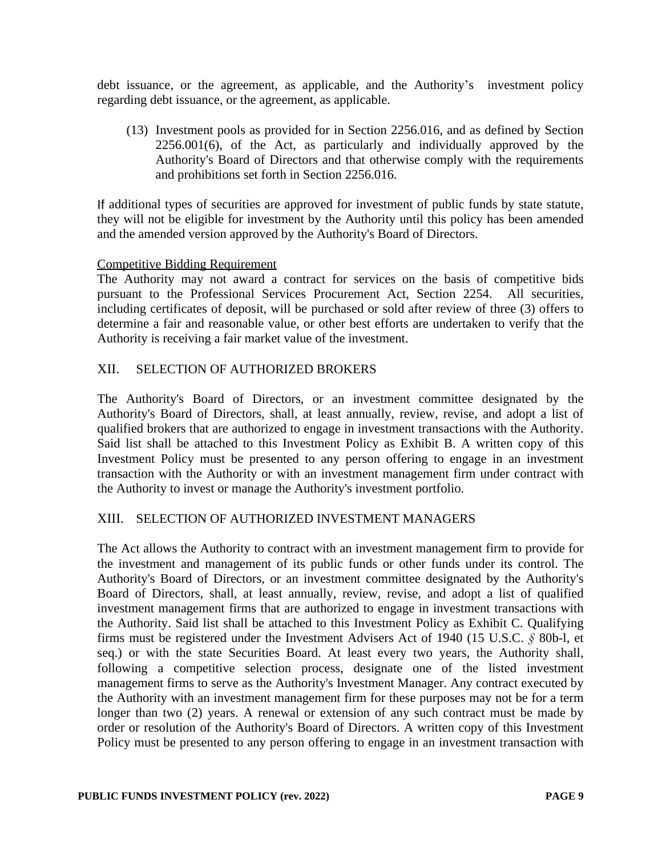debt issuance, or the agreement, as applicable, and the Authority's investment policy regarding debt issuance, or the agreement, as applicable.

(13) Investment pools as provided for in Section 2256.016, and as defined by Section 2256.001(6), of the Act, as particularly and individually approved by the Authority's Board of Directors and that otherwise comply with the requirements and prohibitions set forth in Section 2256.016.

If additional types of securities are approved for investment of public funds by state statute, they will not be eligible for investment by the Authority until this policy has been amended and the amended version approved by the Authority's Board of Directors.

### Competitive Bidding Requirement

The Authority may not award a contract for services on the basis of competitive bids pursuant to the Professional Services Procurement Act, Section 2254. All securities, including certificates of deposit, will be purchased or sold after review of three (3) offers to determine a fair and reasonable value, or other best efforts are undertaken to verify that the Authority is receiving a fair market value of the investment.

# XII. SELECTION OF AUTHORIZED BROKERS

The Authority's Board of Directors, or an investment committee designated by the Authority's Board of Directors, shall, at least annually, review, revise, and adopt a list of qualified brokers that are authorized to engage in investment transactions with the Authority. Said list shall be attached to this Investment Policy as Exhibit B. A written copy of this Investment Policy must be presented to any person offering to engage in an investment transaction with the Authority or with an investment management firm under contract with the Authority to invest or manage the Authority's investment portfolio.

# XIII. SELECTION OF AUTHORIZED INVESTMENT MANAGERS

The Act allows the Authority to contract with an investment management firm to provide for the investment and management of its public funds or other funds under its control. The Authority's Board of Directors, or an investment committee designated by the Authority's Board of Directors, shall, at least annually, review, revise, and adopt a list of qualified investment management firms that are authorized to engage in investment transactions with the Authority. Said list shall be attached to this Investment Policy as Exhibit C. Qualifying firms must be registered under the Investment Advisers Act of 1940 (15 U.S.C. *§* 80b-l, et seq.) or with the state Securities Board. At least every two years, the Authority shall, following a competitive selection process, designate one of the listed investment management firms to serve as the Authority's Investment Manager. Any contract executed by the Authority with an investment management firm for these purposes may not be for a term longer than two (2) years. A renewal or extension of any such contract must be made by order or resolution of the Authority's Board of Directors. A written copy of this Investment Policy must be presented to any person offering to engage in an investment transaction with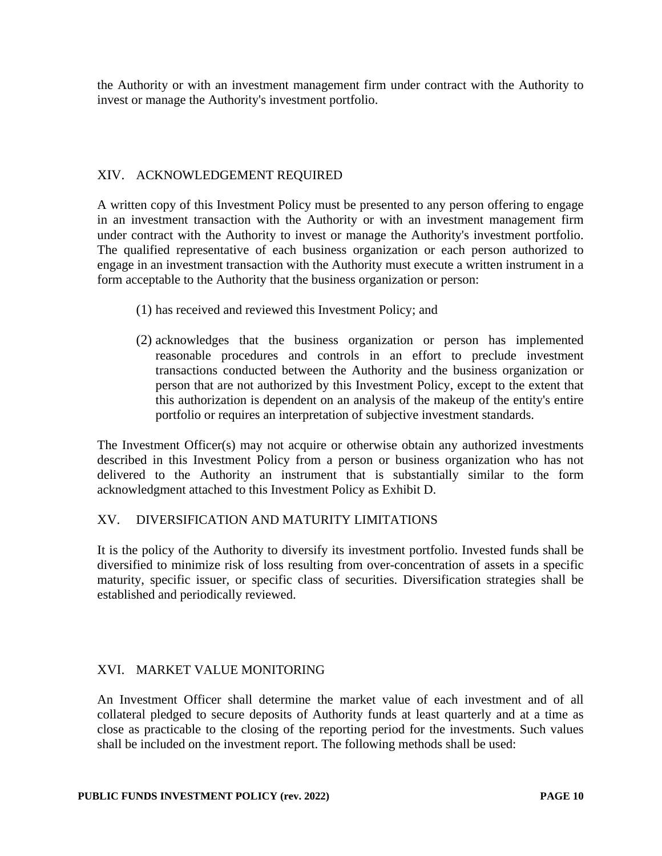the Authority or with an investment management firm under contract with the Authority to invest or manage the Authority's investment portfolio.

# XIV. ACKNOWLEDGEMENT REQUIRED

A written copy of this Investment Policy must be presented to any person offering to engage in an investment transaction with the Authority or with an investment management firm under contract with the Authority to invest or manage the Authority's investment portfolio. The qualified representative of each business organization or each person authorized to engage in an investment transaction with the Authority must execute a written instrument in a form acceptable to the Authority that the business organization or person:

- (1) has received and reviewed this Investment Policy; and
- (2) acknowledges that the business organization or person has implemented reasonable procedures and controls in an effort to preclude investment transactions conducted between the Authority and the business organization or person that are not authorized by this Investment Policy, except to the extent that this authorization is dependent on an analysis of the makeup of the entity's entire portfolio or requires an interpretation of subjective investment standards.

The Investment Officer(s) may not acquire or otherwise obtain any authorized investments described in this Investment Policy from a person or business organization who has not delivered to the Authority an instrument that is substantially similar to the form acknowledgment attached to this Investment Policy as Exhibit D.

### XV. DIVERSIFICATION AND MATURITY LIMITATIONS

It is the policy of the Authority to diversify its investment portfolio. Invested funds shall be diversified to minimize risk of loss resulting from over-concentration of assets in a specific maturity, specific issuer, or specific class of securities. Diversification strategies shall be established and periodically reviewed.

### XVI. MARKET VALUE MONITORING

An Investment Officer shall determine the market value of each investment and of all collateral pledged to secure deposits of Authority funds at least quarterly and at a time as close as practicable to the closing of the reporting period for the investments. Such values shall be included on the investment report. The following methods shall be used: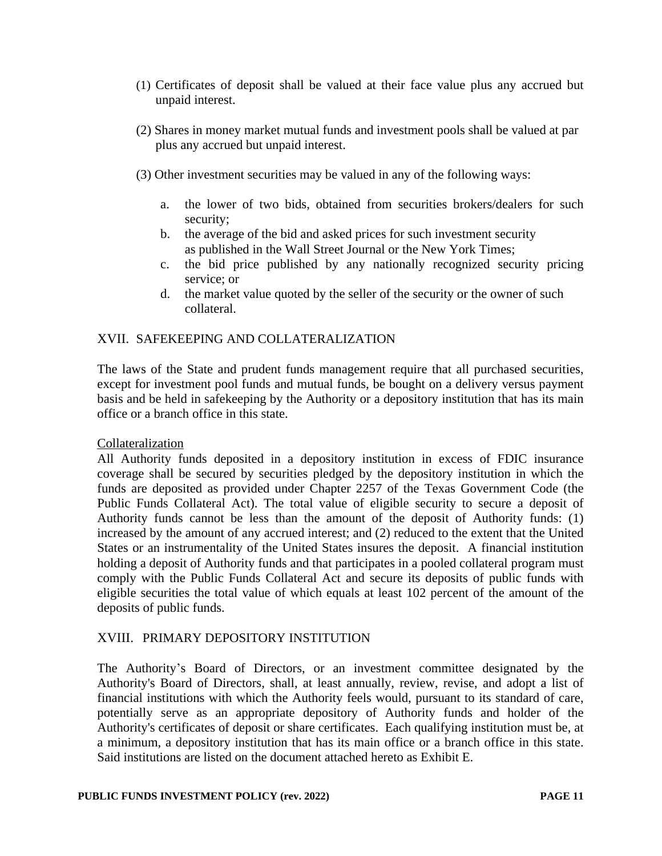- (1) Certificates of deposit shall be valued at their face value plus any accrued but unpaid interest.
- (2) Shares in money market mutual funds and investment pools shall be valued at par plus any accrued but unpaid interest.
- (3) Other investment securities may be valued in any of the following ways:
	- a. the lower of two bids, obtained from securities brokers/dealers for such security;
	- b. the average of the bid and asked prices for such investment security as published in the Wall Street Journal or the New York Times;
	- c. the bid price published by any nationally recognized security pricing service; or
	- d. the market value quoted by the seller of the security or the owner of such collateral.

# XVII. SAFEKEEPING AND COLLATERALIZATION

The laws of the State and prudent funds management require that all purchased securities, except for investment pool funds and mutual funds, be bought on a delivery versus payment basis and be held in safekeeping by the Authority or a depository institution that has its main office or a branch office in this state.

### Collateralization

All Authority funds deposited in a depository institution in excess of FDIC insurance coverage shall be secured by securities pledged by the depository institution in which the funds are deposited as provided under Chapter 2257 of the Texas Government Code (the Public Funds Collateral Act). The total value of eligible security to secure a deposit of Authority funds cannot be less than the amount of the deposit of Authority funds: (1) increased by the amount of any accrued interest; and (2) reduced to the extent that the United States or an instrumentality of the United States insures the deposit. A financial institution holding a deposit of Authority funds and that participates in a pooled collateral program must comply with the Public Funds Collateral Act and secure its deposits of public funds with eligible securities the total value of which equals at least 102 percent of the amount of the deposits of public funds.

### XVIII. PRIMARY DEPOSITORY INSTITUTION

The Authority's Board of Directors, or an investment committee designated by the Authority's Board of Directors, shall, at least annually, review, revise, and adopt a list of financial institutions with which the Authority feels would, pursuant to its standard of care, potentially serve as an appropriate depository of Authority funds and holder of the Authority's certificates of deposit or share certificates. Each qualifying institution must be, at a minimum, a depository institution that has its main office or a branch office in this state. Said institutions are listed on the document attached hereto as Exhibit E.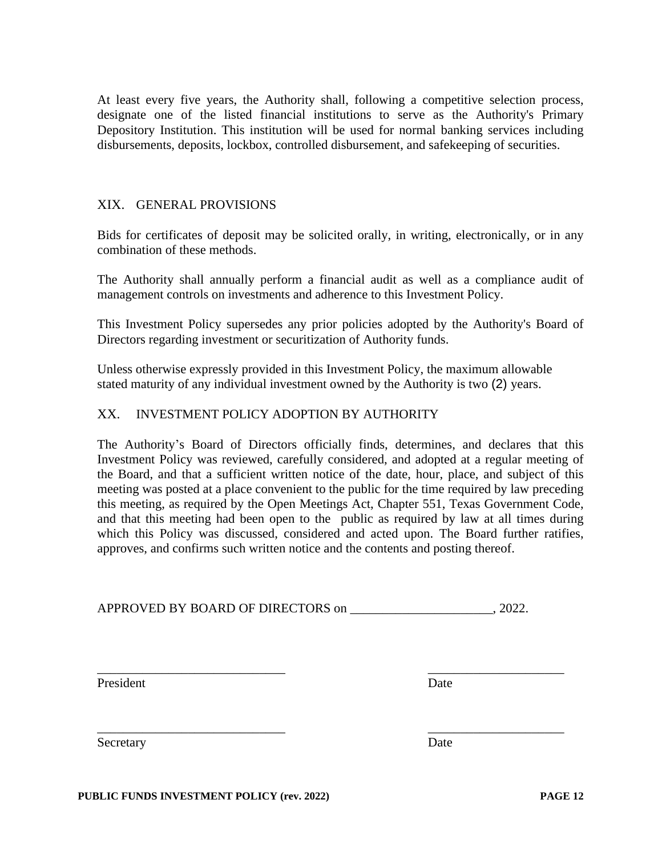At least every five years, the Authority shall, following a competitive selection process, designate one of the listed financial institutions to serve as the Authority's Primary Depository Institution. This institution will be used for normal banking services including disbursements, deposits, lockbox, controlled disbursement, and safekeeping of securities.

### XIX. GENERAL PROVISIONS

Bids for certificates of deposit may be solicited orally, in writing, electronically, or in any combination of these methods.

The Authority shall annually perform a financial audit as well as a compliance audit of management controls on investments and adherence to this Investment Policy.

This Investment Policy supersedes any prior policies adopted by the Authority's Board of Directors regarding investment or securitization of Authority funds.

Unless otherwise expressly provided in this Investment Policy, the maximum allowable stated maturity of any individual investment owned by the Authority is two (2) years.

# XX. INVESTMENT POLICY ADOPTION BY AUTHORITY

The Authority's Board of Directors officially finds, determines, and declares that this Investment Policy was reviewed, carefully considered, and adopted at a regular meeting of the Board, and that a sufficient written notice of the date, hour, place, and subject of this meeting was posted at a place convenient to the public for the time required by law preceding this meeting, as required by the Open Meetings Act, Chapter 551, Texas Government Code, and that this meeting had been open to the public as required by law at all times during which this Policy was discussed, considered and acted upon. The Board further ratifies, approves, and confirms such written notice and the contents and posting thereof.

APPROVED BY BOARD OF DIRECTORS on \_\_\_\_\_\_\_\_\_\_\_\_\_\_\_\_\_\_\_\_\_\_\_, 2022.

\_\_\_\_\_\_\_\_\_\_\_\_\_\_\_\_\_\_\_\_\_\_\_\_\_\_\_\_\_ \_\_\_\_\_\_\_\_\_\_\_\_\_\_\_\_\_\_\_\_\_

\_\_\_\_\_\_\_\_\_\_\_\_\_\_\_\_\_\_\_\_\_\_\_\_\_\_\_\_\_ \_\_\_\_\_\_\_\_\_\_\_\_\_\_\_\_\_\_\_\_\_

President Date Date

Secretary Date

**PUBLIC FUNDS INVESTMENT POLICY (rev. 2022) PAGE 12**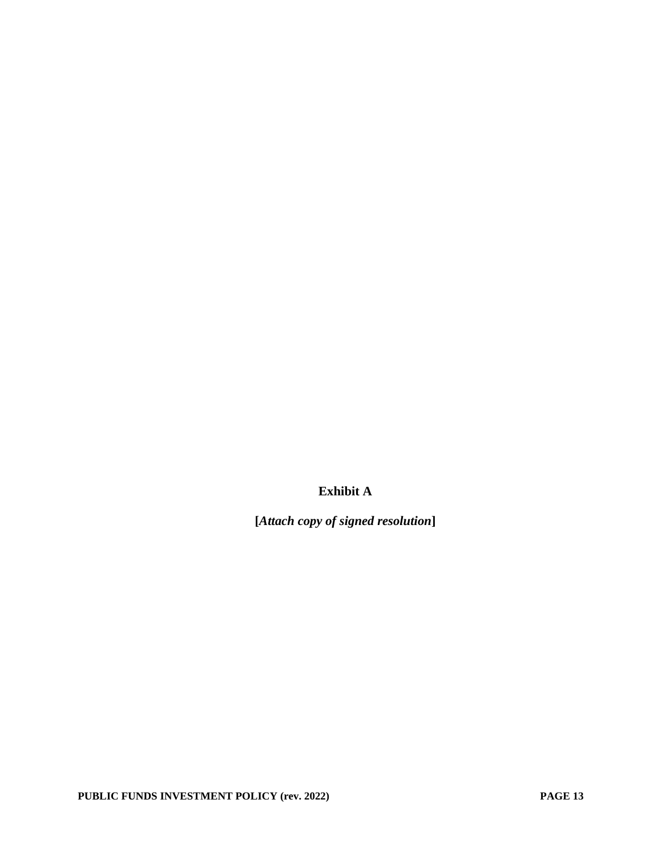**Exhibit A**

**[***Attach copy of signed resolution***]**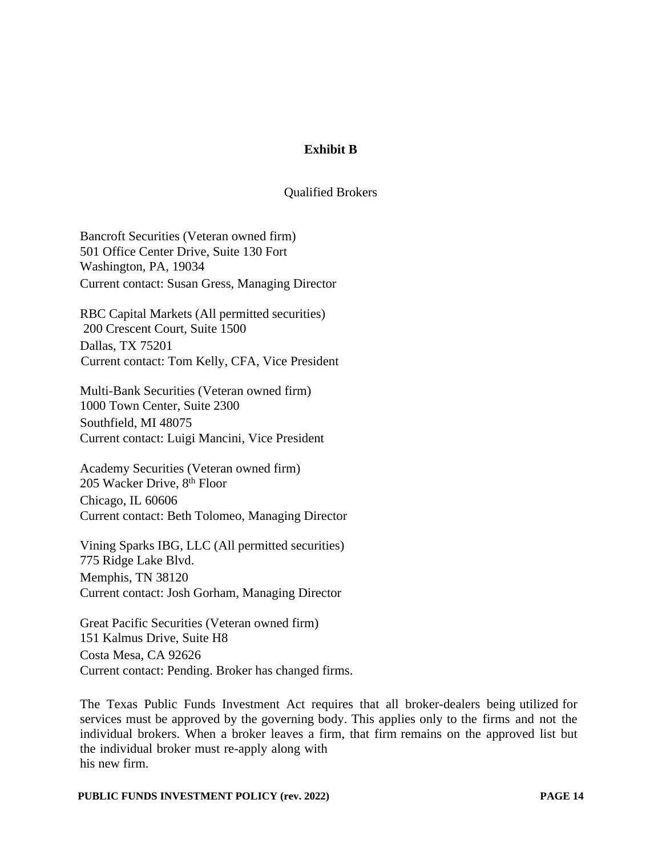# **Exhibit B**

### Qualified Brokers

Bancroft Securities (Veteran owned firm) 501 Office Center Drive, Suite 130 Fort Washington, PA, 19034 Current contact: Susan Gress, Managing Director

RBC Capital Markets (All permitted securities) 200 Crescent Court, Suite 1500 Dallas, TX 75201 Current contact: Tom Kelly, CFA, Vice President

Multi-Bank Securities (Veteran owned firm) 1000 Town Center, Suite 2300 Southfield, MI 48075 Current contact: Luigi Mancini, Vice President

Academy Securities (Veteran owned firm) 205 Wacker Drive, 8th Floor Chicago, IL 60606 Current contact: Beth Tolomeo, Managing Director

Vining Sparks IBG, LLC (All permitted securities) 775 Ridge Lake Blvd. Memphis, TN 38120 Current contact: Josh Gorham, Managing Director

Great Pacific Securities (Veteran owned firm) 151 Kalmus Drive, Suite H8 Costa Mesa, CA 92626 Current contact: Pending. Broker has changed firms.

The Texas Public Funds Investment Act requires that all broker-dealers being utilized for services must be approved by the governing body. This applies only to the firms and not the individual brokers. When a broker leaves a firm, that firm remains on the approved list but the individual broker must re-apply along with his new firm.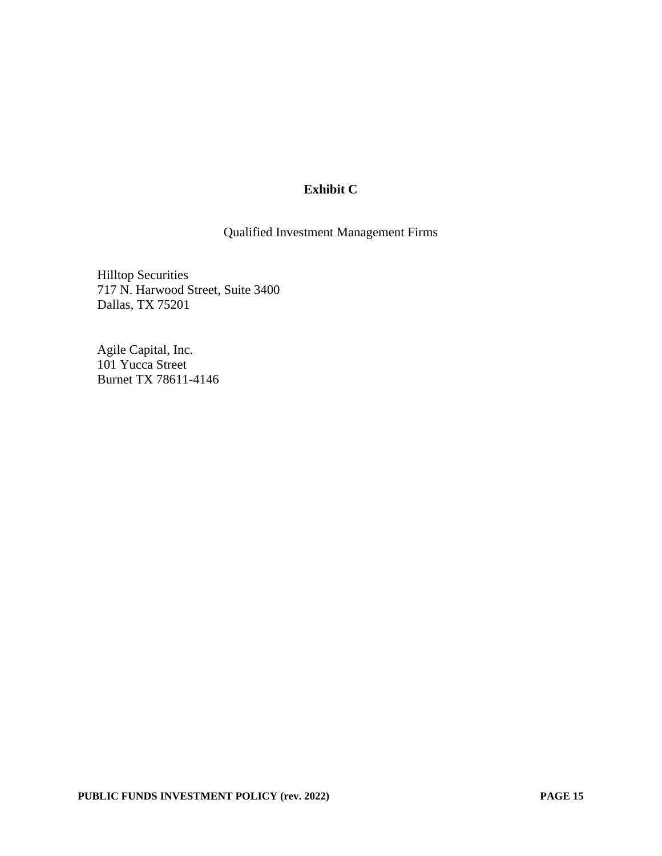# **Exhibit C**

Qualified Investment Management Firms

Hilltop Securities 717 N. Harwood Street, Suite 3400 Dallas, TX 75201

Agile Capital, Inc. 101 Yucca Street Burnet TX 78611-4146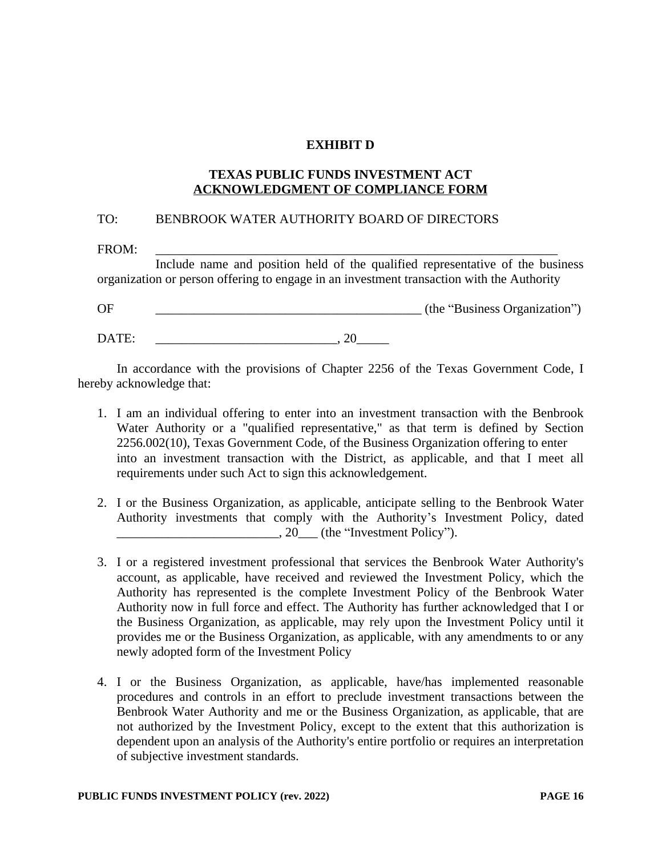### **EXHIBIT D**

### **TEXAS PUBLIC FUNDS INVESTMENT ACT ACKNOWLEDGMENT OF COMPLIANCE FORM**

### TO: BENBROOK WATER AUTHORITY BOARD OF DIRECTORS

FROM: \_\_\_\_\_\_\_\_\_\_\_\_\_\_\_\_\_\_\_\_\_\_\_\_\_\_\_\_\_\_\_\_\_\_\_\_\_\_\_\_\_\_\_\_\_\_\_\_\_\_\_\_\_\_\_\_\_\_\_\_\_\_

Include name and position held of the qualified representative of the business organization or person offering to engage in an investment transaction with the Authority

OF COUNTERCTATE CONSERVANCE CONSUMING THE CONSERVANCE CONSERVANCE CONSERVANCE CONSERVANCE CONSERVANCE CONSERVANCE CONSERVANCE CONSERVANCE CONSERVANCE CONSERVANCE CONSERVANCE CONSERVANCE CONSERVANCE CONSERVANCE CONSERVANCE

DATE: \_\_\_\_\_\_\_\_\_\_\_\_\_\_\_\_\_\_\_\_\_\_\_\_\_\_\_\_, 20\_\_\_\_\_

In accordance with the provisions of Chapter 2256 of the Texas Government Code, I hereby acknowledge that:

- 1. I am an individual offering to enter into an investment transaction with the Benbrook Water Authority or a "qualified representative," as that term is defined by Section 2256.002(10), Texas Government Code, of the Business Organization offering to enter into an investment transaction with the District, as applicable, and that I meet all requirements under such Act to sign this acknowledgement.
- 2. I or the Business Organization, as applicable, anticipate selling to the Benbrook Water Authority investments that comply with the Authority's Investment Policy, dated  $\frac{1}{20}$ , 20 (the "Investment Policy").
- 3. I or a registered investment professional that services the Benbrook Water Authority's account, as applicable, have received and reviewed the Investment Policy, which the Authority has represented is the complete Investment Policy of the Benbrook Water Authority now in full force and effect. The Authority has further acknowledged that I or the Business Organization, as applicable, may rely upon the Investment Policy until it provides me or the Business Organization, as applicable, with any amendments to or any newly adopted form of the Investment Policy
- 4. I or the Business Organization, as applicable, have/has implemented reasonable procedures and controls in an effort to preclude investment transactions between the Benbrook Water Authority and me or the Business Organization, as applicable, that are not authorized by the Investment Policy, except to the extent that this authorization is dependent upon an analysis of the Authority's entire portfolio or requires an interpretation of subjective investment standards.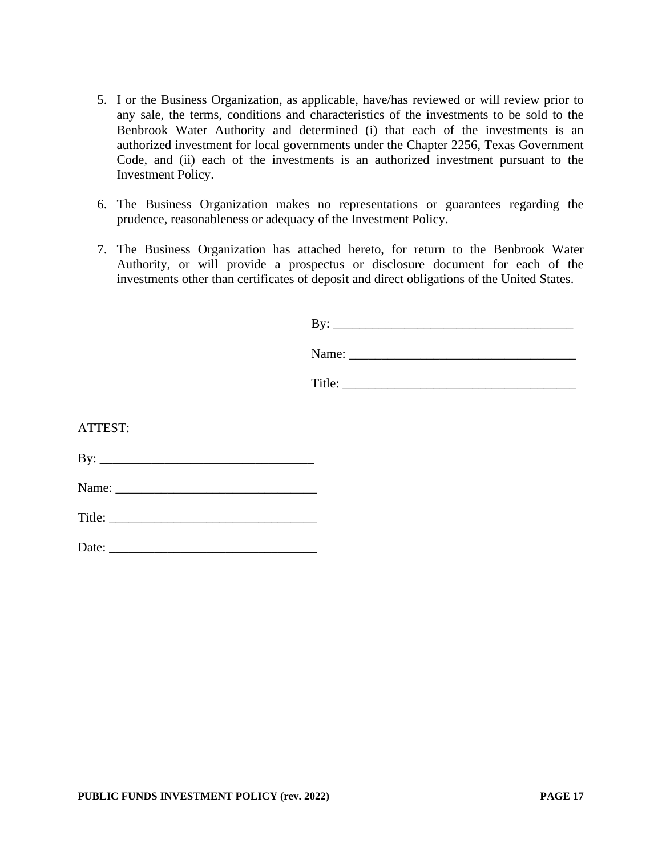- 5. I or the Business Organization, as applicable, have/has reviewed or will review prior to any sale, the terms, conditions and characteristics of the investments to be sold to the Benbrook Water Authority and determined (i) that each of the investments is an authorized investment for local governments under the Chapter 2256, Texas Government Code, and (ii) each of the investments is an authorized investment pursuant to the Investment Policy.
- 6. The Business Organization makes no representations or guarantees regarding the prudence, reasonableness or adequacy of the Investment Policy.
- 7. The Business Organization has attached hereto, for return to the Benbrook Water Authority, or will provide a prospectus or disclosure document for each of the investments other than certificates of deposit and direct obligations of the United States.

|         | By: $\qquad \qquad$ |
|---------|---------------------|
|         |                     |
|         |                     |
|         |                     |
| ATTEST: |                     |
|         |                     |
|         |                     |
|         |                     |
|         |                     |

Date: